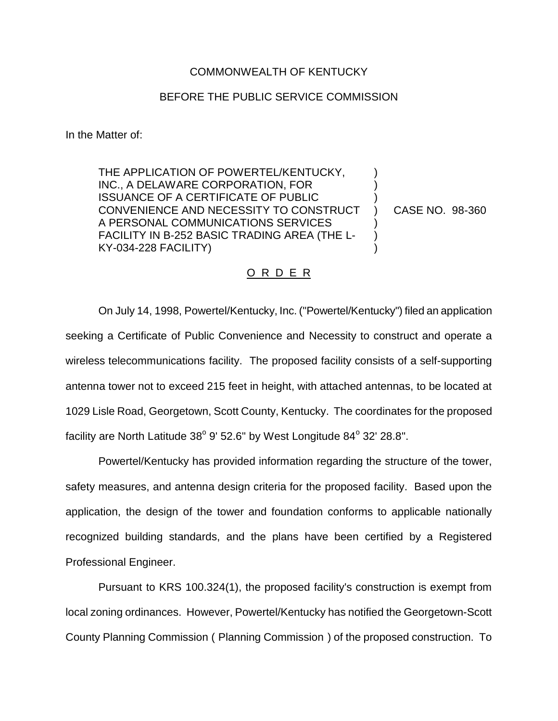## COMMONWEALTH OF KENTUCKY

## BEFORE THE PUBLIC SERVICE COMMISSION

In the Matter of:

THE APPLICATION OF POWERTEL/KENTUCKY, INC., A DELAWARE CORPORATION, FOR ISSUANCE OF A CERTIFICATE OF PUBLIC CONVENIENCE AND NECESSITY TO CONSTRUCT A PERSONAL COMMUNICATIONS SERVICES FACILITY IN B-252 BASIC TRADING AREA (THE L-KY-034-228 FACILITY)

CASE NO. 98-360

) ) ) ) ) ) )

## O R D E R

On July 14, 1998, Powertel/Kentucky, Inc. ("Powertel/Kentucky") filed an application seeking a Certificate of Public Convenience and Necessity to construct and operate a wireless telecommunications facility. The proposed facility consists of a self-supporting antenna tower not to exceed 215 feet in height, with attached antennas, to be located at 1029 Lisle Road, Georgetown, Scott County, Kentucky. The coordinates for the proposed facility are North Latitude  $38^{\circ}$  9' 52.6" by West Longitude  $84^{\circ}$  32' 28.8".

Powertel/Kentucky has provided information regarding the structure of the tower, safety measures, and antenna design criteria for the proposed facility. Based upon the application, the design of the tower and foundation conforms to applicable nationally recognized building standards, and the plans have been certified by a Registered Professional Engineer.

Pursuant to KRS 100.324(1), the proposed facility's construction is exempt from local zoning ordinances. However, Powertel/Kentucky has notified the Georgetown-Scott County Planning Commission ( Planning Commission ) of the proposed construction. To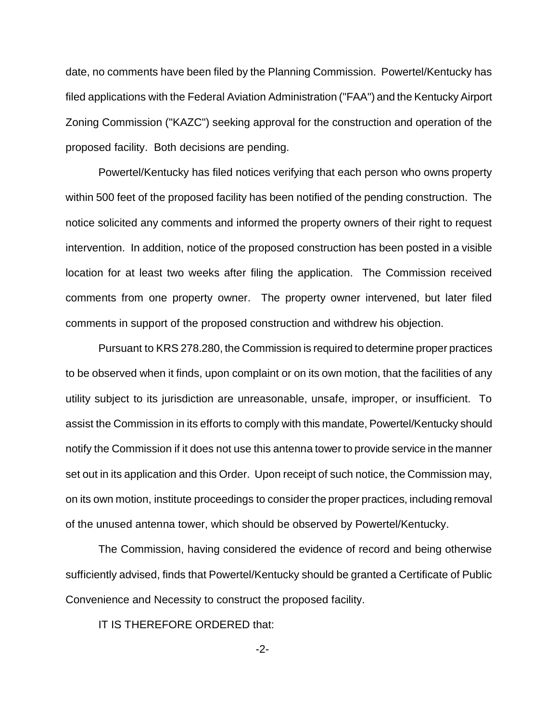date, no comments have been filed by the Planning Commission. Powertel/Kentucky has filed applications with the Federal Aviation Administration ("FAA") and the Kentucky Airport Zoning Commission ("KAZC") seeking approval for the construction and operation of the proposed facility. Both decisions are pending.

Powertel/Kentucky has filed notices verifying that each person who owns property within 500 feet of the proposed facility has been notified of the pending construction. The notice solicited any comments and informed the property owners of their right to request intervention. In addition, notice of the proposed construction has been posted in a visible location for at least two weeks after filing the application. The Commission received comments from one property owner. The property owner intervened, but later filed comments in support of the proposed construction and withdrew his objection.

Pursuant to KRS 278.280, the Commission is required to determine proper practices to be observed when it finds, upon complaint or on its own motion, that the facilities of any utility subject to its jurisdiction are unreasonable, unsafe, improper, or insufficient. To assist the Commission in its efforts to comply with this mandate, Powertel/Kentucky should notify the Commission if it does not use this antenna tower to provide service in the manner set out in its application and this Order. Upon receipt of such notice, the Commission may, on its own motion, institute proceedings to consider the proper practices, including removal of the unused antenna tower, which should be observed by Powertel/Kentucky.

The Commission, having considered the evidence of record and being otherwise sufficiently advised, finds that Powertel/Kentucky should be granted a Certificate of Public Convenience and Necessity to construct the proposed facility.

IT IS THEREFORE ORDERED that:

-2-